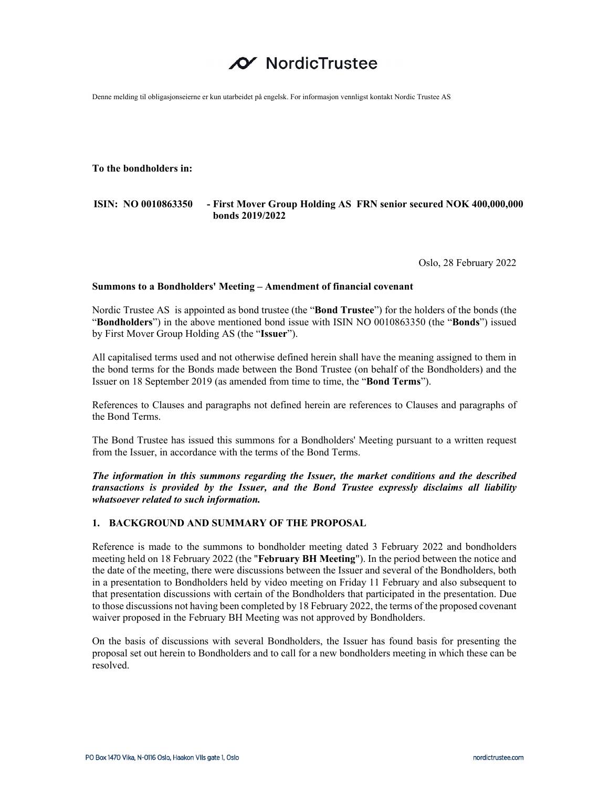# NordicTrustee

Denne melding til obligasjonseierne er kun utarbeidet på engelsk. For informasjon vennligst kontakt Nordic Trustee AS

**To the bondholders in:** 

## **ISIN: NO 0010863350 - First Mover Group Holding AS FRN senior secured NOK 400,000,000 bonds 2019/2022**

Oslo, 28 February 2022

#### **Summons to a Bondholders' Meeting – Amendment of financial covenant**

Nordic Trustee AS is appointed as bond trustee (the "**Bond Trustee**") for the holders of the bonds (the "**Bondholders**") in the above mentioned bond issue with ISIN NO 0010863350 (the "**Bonds**") issued by First Mover Group Holding AS (the "**Issuer**").

All capitalised terms used and not otherwise defined herein shall have the meaning assigned to them in the bond terms for the Bonds made between the Bond Trustee (on behalf of the Bondholders) and the Issuer on 18 September 2019 (as amended from time to time, the "**Bond Terms**").

References to Clauses and paragraphs not defined herein are references to Clauses and paragraphs of the Bond Terms.

The Bond Trustee has issued this summons for a Bondholders' Meeting pursuant to a written request from the Issuer, in accordance with the terms of the Bond Terms.

*The information in this summons regarding the Issuer, the market conditions and the described transactions is provided by the Issuer, and the Bond Trustee expressly disclaims all liability whatsoever related to such information.* 

## **1. BACKGROUND AND SUMMARY OF THE PROPOSAL**

Reference is made to the summons to bondholder meeting dated 3 February 2022 and bondholders meeting held on 18 February 2022 (the "**February BH Meeting**"). In the period between the notice and the date of the meeting, there were discussions between the Issuer and several of the Bondholders, both in a presentation to Bondholders held by video meeting on Friday 11 February and also subsequent to that presentation discussions with certain of the Bondholders that participated in the presentation. Due to those discussions not having been completed by 18 February 2022, the terms of the proposed covenant waiver proposed in the February BH Meeting was not approved by Bondholders.

On the basis of discussions with several Bondholders, the Issuer has found basis for presenting the proposal set out herein to Bondholders and to call for a new bondholders meeting in which these can be resolved.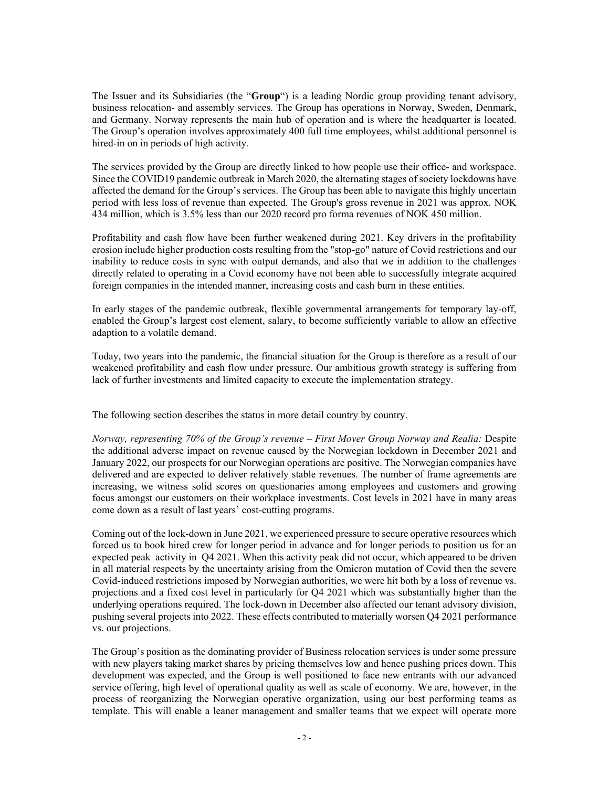The Issuer and its Subsidiaries (the "**Group**") is a leading Nordic group providing tenant advisory, business relocation- and assembly services. The Group has operations in Norway, Sweden, Denmark, and Germany. Norway represents the main hub of operation and is where the headquarter is located. The Group's operation involves approximately 400 full time employees, whilst additional personnel is hired-in on in periods of high activity.

The services provided by the Group are directly linked to how people use their office- and workspace. Since the COVID19 pandemic outbreak in March 2020, the alternating stages of society lockdowns have affected the demand for the Group's services. The Group has been able to navigate this highly uncertain period with less loss of revenue than expected. The Group's gross revenue in 2021 was approx. NOK 434 million, which is 3.5% less than our 2020 record pro forma revenues of NOK 450 million.

Profitability and cash flow have been further weakened during 2021. Key drivers in the profitability erosion include higher production costs resulting from the "stop-go" nature of Covid restrictions and our inability to reduce costs in sync with output demands, and also that we in addition to the challenges directly related to operating in a Covid economy have not been able to successfully integrate acquired foreign companies in the intended manner, increasing costs and cash burn in these entities.

In early stages of the pandemic outbreak, flexible governmental arrangements for temporary lay-off, enabled the Group's largest cost element, salary, to become sufficiently variable to allow an effective adaption to a volatile demand.

Today, two years into the pandemic, the financial situation for the Group is therefore as a result of our weakened profitability and cash flow under pressure. Our ambitious growth strategy is suffering from lack of further investments and limited capacity to execute the implementation strategy.

The following section describes the status in more detail country by country.

*Norway, representing 70% of the Group's revenue – First Mover Group Norway and Realia:* Despite the additional adverse impact on revenue caused by the Norwegian lockdown in December 2021 and January 2022, our prospects for our Norwegian operations are positive. The Norwegian companies have delivered and are expected to deliver relatively stable revenues. The number of frame agreements are increasing, we witness solid scores on questionaries among employees and customers and growing focus amongst our customers on their workplace investments. Cost levels in 2021 have in many areas come down as a result of last years' cost-cutting programs.

Coming out of the lock-down in June 2021, we experienced pressure to secure operative resources which forced us to book hired crew for longer period in advance and for longer periods to position us for an expected peak activity in Q4 2021. When this activity peak did not occur, which appeared to be driven in all material respects by the uncertainty arising from the Omicron mutation of Covid then the severe Covid-induced restrictions imposed by Norwegian authorities, we were hit both by a loss of revenue vs. projections and a fixed cost level in particularly for Q4 2021 which was substantially higher than the underlying operations required. The lock-down in December also affected our tenant advisory division, pushing several projects into 2022. These effects contributed to materially worsen Q4 2021 performance vs. our projections.

The Group's position as the dominating provider of Business relocation services is under some pressure with new players taking market shares by pricing themselves low and hence pushing prices down. This development was expected, and the Group is well positioned to face new entrants with our advanced service offering, high level of operational quality as well as scale of economy. We are, however, in the process of reorganizing the Norwegian operative organization, using our best performing teams as template. This will enable a leaner management and smaller teams that we expect will operate more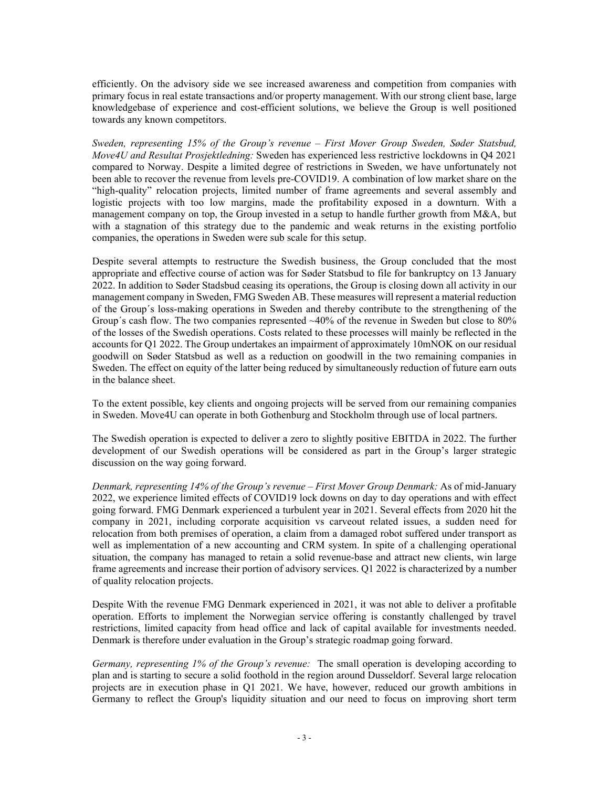efficiently. On the advisory side we see increased awareness and competition from companies with primary focus in real estate transactions and/or property management. With our strong client base, large knowledgebase of experience and cost-efficient solutions, we believe the Group is well positioned towards any known competitors.

*Sweden, representing 15% of the Group's revenue – First Mover Group Sweden, Søder Statsbud, Move4U and Resultat Prosjektledning:* Sweden has experienced less restrictive lockdowns in Q4 2021 compared to Norway. Despite a limited degree of restrictions in Sweden, we have unfortunately not been able to recover the revenue from levels pre-COVID19. A combination of low market share on the "high-quality" relocation projects, limited number of frame agreements and several assembly and logistic projects with too low margins, made the profitability exposed in a downturn. With a management company on top, the Group invested in a setup to handle further growth from M&A, but with a stagnation of this strategy due to the pandemic and weak returns in the existing portfolio companies, the operations in Sweden were sub scale for this setup.

Despite several attempts to restructure the Swedish business, the Group concluded that the most appropriate and effective course of action was for Søder Statsbud to file for bankruptcy on 13 January 2022. In addition to Søder Stadsbud ceasing its operations, the Group is closing down all activity in our management company in Sweden, FMG Sweden AB. These measures will represent a material reduction of the Group´s loss-making operations in Sweden and thereby contribute to the strengthening of the Group´s cash flow. The two companies represented ~40% of the revenue in Sweden but close to 80% of the losses of the Swedish operations. Costs related to these processes will mainly be reflected in the accounts for Q1 2022. The Group undertakes an impairment of approximately 10mNOK on our residual goodwill on Søder Statsbud as well as a reduction on goodwill in the two remaining companies in Sweden. The effect on equity of the latter being reduced by simultaneously reduction of future earn outs in the balance sheet.

To the extent possible, key clients and ongoing projects will be served from our remaining companies in Sweden. Move4U can operate in both Gothenburg and Stockholm through use of local partners.

The Swedish operation is expected to deliver a zero to slightly positive EBITDA in 2022. The further development of our Swedish operations will be considered as part in the Group's larger strategic discussion on the way going forward.

*Denmark, representing 14% of the Group's revenue – First Mover Group Denmark:* As of mid-January 2022, we experience limited effects of COVID19 lock downs on day to day operations and with effect going forward. FMG Denmark experienced a turbulent year in 2021. Several effects from 2020 hit the company in 2021, including corporate acquisition vs carveout related issues, a sudden need for relocation from both premises of operation, a claim from a damaged robot suffered under transport as well as implementation of a new accounting and CRM system. In spite of a challenging operational situation, the company has managed to retain a solid revenue-base and attract new clients, win large frame agreements and increase their portion of advisory services. Q1 2022 is characterized by a number of quality relocation projects.

Despite With the revenue FMG Denmark experienced in 2021, it was not able to deliver a profitable operation. Efforts to implement the Norwegian service offering is constantly challenged by travel restrictions, limited capacity from head office and lack of capital available for investments needed. Denmark is therefore under evaluation in the Group's strategic roadmap going forward.

*Germany, representing 1% of the Group's revenue:* The small operation is developing according to plan and is starting to secure a solid foothold in the region around Dusseldorf. Several large relocation projects are in execution phase in Q1 2021. We have, however, reduced our growth ambitions in Germany to reflect the Group's liquidity situation and our need to focus on improving short term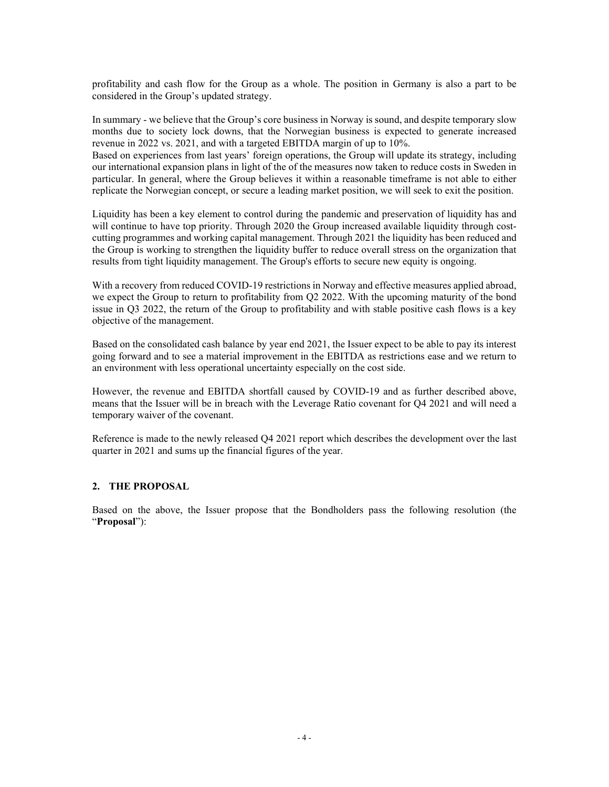profitability and cash flow for the Group as a whole. The position in Germany is also a part to be considered in the Group's updated strategy.

In summary - we believe that the Group's core business in Norway is sound, and despite temporary slow months due to society lock downs, that the Norwegian business is expected to generate increased revenue in 2022 vs. 2021, and with a targeted EBITDA margin of up to 10%.

Based on experiences from last years' foreign operations, the Group will update its strategy, including our international expansion plans in light of the of the measures now taken to reduce costs in Sweden in particular. In general, where the Group believes it within a reasonable timeframe is not able to either replicate the Norwegian concept, or secure a leading market position, we will seek to exit the position.

Liquidity has been a key element to control during the pandemic and preservation of liquidity has and will continue to have top priority. Through 2020 the Group increased available liquidity through costcutting programmes and working capital management. Through 2021 the liquidity has been reduced and the Group is working to strengthen the liquidity buffer to reduce overall stress on the organization that results from tight liquidity management. The Group's efforts to secure new equity is ongoing.

With a recovery from reduced COVID-19 restrictions in Norway and effective measures applied abroad, we expect the Group to return to profitability from Q2 2022. With the upcoming maturity of the bond issue in Q3 2022, the return of the Group to profitability and with stable positive cash flows is a key objective of the management.

Based on the consolidated cash balance by year end 2021, the Issuer expect to be able to pay its interest going forward and to see a material improvement in the EBITDA as restrictions ease and we return to an environment with less operational uncertainty especially on the cost side.

However, the revenue and EBITDA shortfall caused by COVID-19 and as further described above, means that the Issuer will be in breach with the Leverage Ratio covenant for Q4 2021 and will need a temporary waiver of the covenant.

Reference is made to the newly released Q4 2021 report which describes the development over the last quarter in 2021 and sums up the financial figures of the year.

# **2. THE PROPOSAL**

Based on the above, the Issuer propose that the Bondholders pass the following resolution (the "**Proposal**"):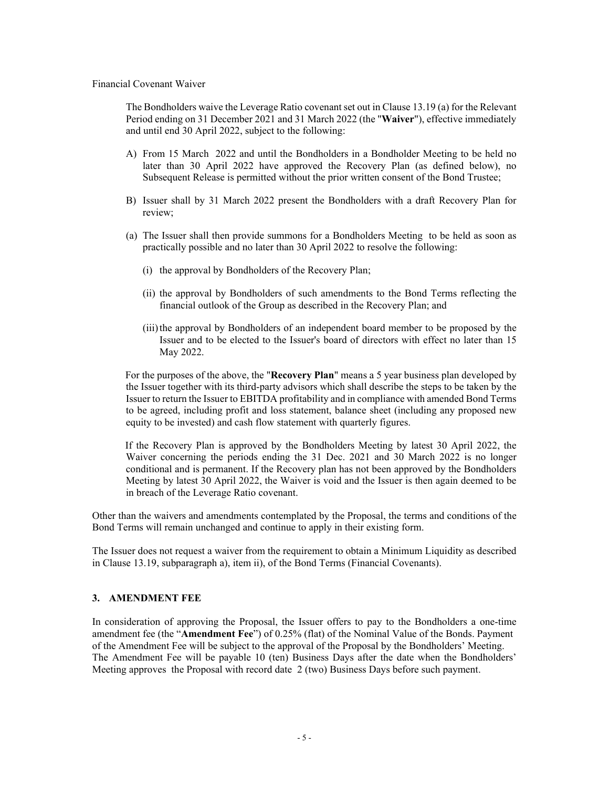Financial Covenant Waiver

The Bondholders waive the Leverage Ratio covenant set out in Clause 13.19 (a) for the Relevant Period ending on 31 December 2021 and 31 March 2022 (the "**Waiver**"), effective immediately and until end 30 April 2022, subject to the following:

- A) From 15 March 2022 and until the Bondholders in a Bondholder Meeting to be held no later than 30 April 2022 have approved the Recovery Plan (as defined below), no Subsequent Release is permitted without the prior written consent of the Bond Trustee;
- B) Issuer shall by 31 March 2022 present the Bondholders with a draft Recovery Plan for review;
- (a) The Issuer shall then provide summons for a Bondholders Meeting to be held as soon as practically possible and no later than 30 April 2022 to resolve the following:
	- (i) the approval by Bondholders of the Recovery Plan;
	- (ii) the approval by Bondholders of such amendments to the Bond Terms reflecting the financial outlook of the Group as described in the Recovery Plan; and
	- (iii) the approval by Bondholders of an independent board member to be proposed by the Issuer and to be elected to the Issuer's board of directors with effect no later than 15 May 2022.

For the purposes of the above, the "**Recovery Plan**" means a 5 year business plan developed by the Issuer together with its third-party advisors which shall describe the steps to be taken by the Issuer to return the Issuer to EBITDA profitability and in compliance with amended Bond Terms to be agreed, including profit and loss statement, balance sheet (including any proposed new equity to be invested) and cash flow statement with quarterly figures.

If the Recovery Plan is approved by the Bondholders Meeting by latest 30 April 2022, the Waiver concerning the periods ending the 31 Dec. 2021 and 30 March 2022 is no longer conditional and is permanent. If the Recovery plan has not been approved by the Bondholders Meeting by latest 30 April 2022, the Waiver is void and the Issuer is then again deemed to be in breach of the Leverage Ratio covenant.

Other than the waivers and amendments contemplated by the Proposal, the terms and conditions of the Bond Terms will remain unchanged and continue to apply in their existing form.

The Issuer does not request a waiver from the requirement to obtain a Minimum Liquidity as described in Clause 13.19, subparagraph a), item ii), of the Bond Terms (Financial Covenants).

#### **3. AMENDMENT FEE**

In consideration of approving the Proposal, the Issuer offers to pay to the Bondholders a one-time amendment fee (the "**Amendment Fee**") of 0.25% (flat) of the Nominal Value of the Bonds. Payment of the Amendment Fee will be subject to the approval of the Proposal by the Bondholders' Meeting. The Amendment Fee will be payable 10 (ten) Business Days after the date when the Bondholders' Meeting approves the Proposal with record date 2 (two) Business Days before such payment.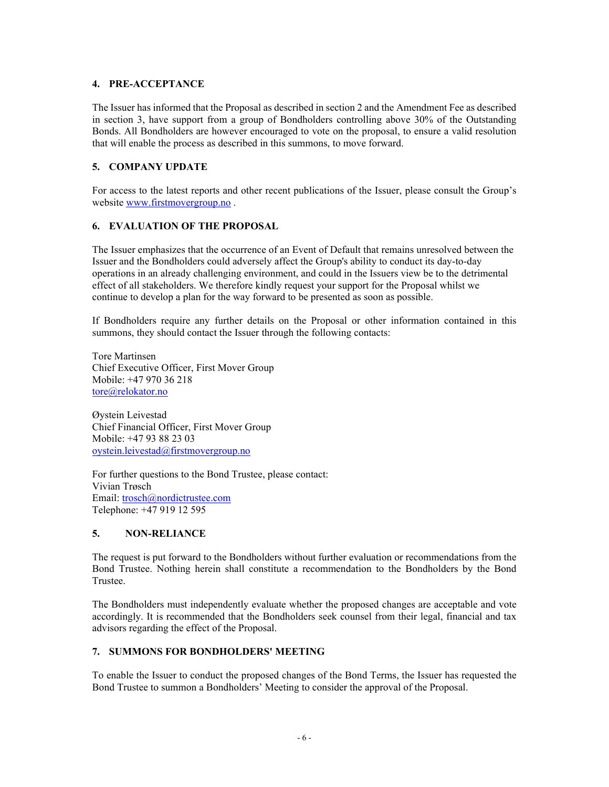## **4. PRE-ACCEPTANCE**

The Issuer has informed that the Proposal as described in section 2 and the Amendment Fee as described in section 3, have support from a group of Bondholders controlling above 30% of the Outstanding Bonds. All Bondholders are however encouraged to vote on the proposal, to ensure a valid resolution that will enable the process as described in this summons, to move forward.

# **5. COMPANY UPDATE**

For access to the latest reports and other recent publications of the Issuer, please consult the Group's website www.firstmovergroup.no .

# **6. EVALUATION OF THE PROPOSAL**

The Issuer emphasizes that the occurrence of an Event of Default that remains unresolved between the Issuer and the Bondholders could adversely affect the Group's ability to conduct its day-to-day operations in an already challenging environment, and could in the Issuers view be to the detrimental effect of all stakeholders. We therefore kindly request your support for the Proposal whilst we continue to develop a plan for the way forward to be presented as soon as possible.

If Bondholders require any further details on the Proposal or other information contained in this summons, they should contact the Issuer through the following contacts:

Tore Martinsen Chief Executive Officer, First Mover Group Mobile: +47 970 36 218 tore@relokator.no

Øystein Leivestad Chief Financial Officer, First Mover Group Mobile: +47 93 88 23 03 oystein.leivestad@firstmovergroup.no

For further questions to the Bond Trustee, please contact: Vivian Trøsch Email: trosch@nordictrustee.com Telephone: +47 919 12 595

# **5. NON-RELIANCE**

The request is put forward to the Bondholders without further evaluation or recommendations from the Bond Trustee. Nothing herein shall constitute a recommendation to the Bondholders by the Bond Trustee.

The Bondholders must independently evaluate whether the proposed changes are acceptable and vote accordingly. It is recommended that the Bondholders seek counsel from their legal, financial and tax advisors regarding the effect of the Proposal.

## **7. SUMMONS FOR BONDHOLDERS' MEETING**

To enable the Issuer to conduct the proposed changes of the Bond Terms, the Issuer has requested the Bond Trustee to summon a Bondholders' Meeting to consider the approval of the Proposal.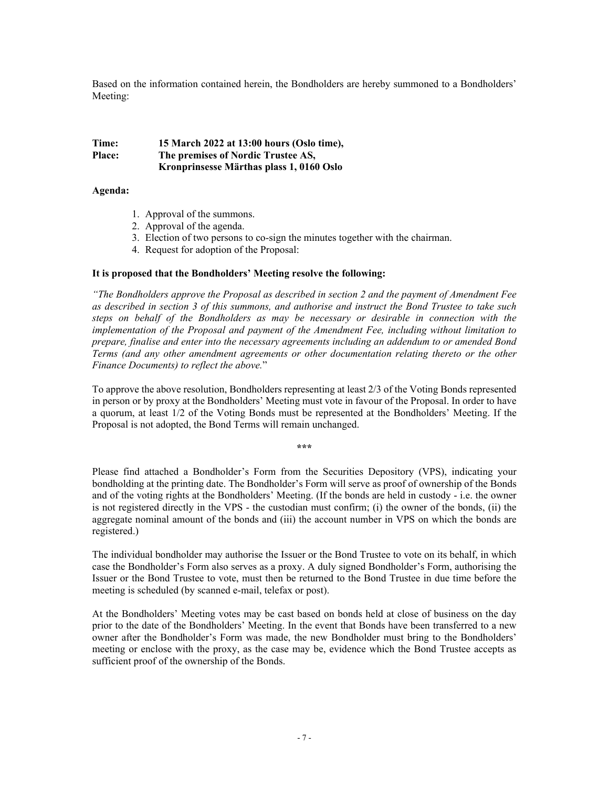Based on the information contained herein, the Bondholders are hereby summoned to a Bondholders' Meeting:

## **Time: 15 March 2022 at 13:00 hours (Oslo time), Place: The premises of Nordic Trustee AS, Kronprinsesse Märthas plass 1, 0160 Oslo**

#### **Agenda:**

- 1. Approval of the summons.
- 2. Approval of the agenda.
- 3. Election of two persons to co-sign the minutes together with the chairman.
- 4. Request for adoption of the Proposal:

#### **It is proposed that the Bondholders' Meeting resolve the following:**

*"The Bondholders approve the Proposal as described in section 2 and the payment of Amendment Fee as described in section 3 of this summons, and authorise and instruct the Bond Trustee to take such steps on behalf of the Bondholders as may be necessary or desirable in connection with the implementation of the Proposal and payment of the Amendment Fee, including without limitation to prepare, finalise and enter into the necessary agreements including an addendum to or amended Bond Terms (and any other amendment agreements or other documentation relating thereto or the other Finance Documents) to reflect the above.*"

To approve the above resolution, Bondholders representing at least 2/3 of the Voting Bonds represented in person or by proxy at the Bondholders' Meeting must vote in favour of the Proposal. In order to have a quorum, at least 1/2 of the Voting Bonds must be represented at the Bondholders' Meeting. If the Proposal is not adopted, the Bond Terms will remain unchanged.

**\*\*\*** 

Please find attached a Bondholder's Form from the Securities Depository (VPS), indicating your bondholding at the printing date. The Bondholder's Form will serve as proof of ownership of the Bonds and of the voting rights at the Bondholders' Meeting. (If the bonds are held in custody - i.e. the owner is not registered directly in the VPS - the custodian must confirm; (i) the owner of the bonds, (ii) the aggregate nominal amount of the bonds and (iii) the account number in VPS on which the bonds are registered.)

The individual bondholder may authorise the Issuer or the Bond Trustee to vote on its behalf, in which case the Bondholder's Form also serves as a proxy. A duly signed Bondholder's Form, authorising the Issuer or the Bond Trustee to vote, must then be returned to the Bond Trustee in due time before the meeting is scheduled (by scanned e-mail, telefax or post).

At the Bondholders' Meeting votes may be cast based on bonds held at close of business on the day prior to the date of the Bondholders' Meeting. In the event that Bonds have been transferred to a new owner after the Bondholder's Form was made, the new Bondholder must bring to the Bondholders' meeting or enclose with the proxy, as the case may be, evidence which the Bond Trustee accepts as sufficient proof of the ownership of the Bonds.